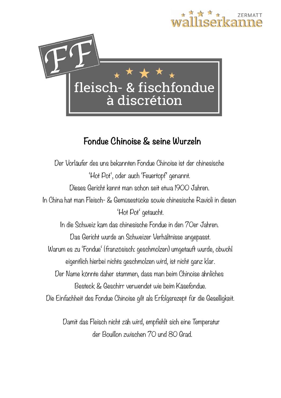

# **Fondue Chinoise & seine Wurzeln**

Der Vorläufer des uns bekannten Fondue Chinoise ist der chinesische 'Hot Pot', oder auch 'Feuertopf' genannt. Dieses Gericht kennt man schon seit etwa 1900 Jahren. In China hat man Fleisch- & Gemüsestücke sowie chinesische Ravioli in diesen 'Hot Pot' getaucht. In die Schweiz kam das chinesische Fondue in den 70er Jahren. Das Gericht wurde an Schweizer Verhältnisse angepasst. Warum es zu 'Fondue' (französisch: geschmolzen) umgetauft wurde, obwohl eigentlich hierbei nichts geschmolzen wird, ist nicht ganz klar. Der Name könnte daher stammen, dass man beim Chinoise ähnliches Besteck & Geschirr verwendet wie beim Käsefondue. Die Einfachheit des Fondue Chinoise gilt als Erfolgsrezept für die Geselligkeit.

> Damit das Fleisch nicht zäh wird, empfiehlt sich eine Temperatur der Bouillon zwischen 70 und 80 Grad.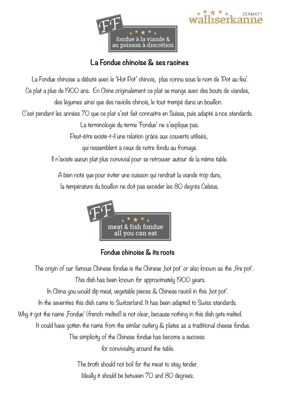



#### **La Fondue chinoise & ses racines**

La Fondue chinoise a débuté avec le 'Hot Pot' chinois, plus connu sous le nom de 'Pot au feu'.

Ce plat a plus de 1900 ans. En Chine originalement ce plat se mange avec des bouts de viandes,

des légumes ainsi que des raviolis chinois, le tout trempé dans un bouillon.

C'est pendant les années 70 que ce plat s'est fait connaître en Suisse, puis adapté à nos standards.

La terminologie du terme 'Fondue' ne s'explique pas.

Peut-être existe-t-il une relation grâce aux couverts utilisés,

qui ressemblent à ceux de notre fondu au fromage.

Il n'existe aucun plat plus convivial pour se retrouver autour de la même table.

A bien noté que pour éviter une cuisson qui rendrait la viande trop dure, la température du bouillon ne doit pas excéder les 80 degrés Celsius.



#### **Fondue chinoise & its roots**

The origin of our famous Chinese fondue is the Chinese , hot pot' or also known as the , fire pot'. This dish has been known for approximately 1900 years. In China you would dip meat, vegetable pieces & Chinese ravioli in this , hot pot. In the seventies this dish came to Switzerland. It has been adapted to Swiss standards. Why it got the name , Fondue' (french: melted) is not clear, because nothing in this dish gets melted. It could have gotten the name from the similar cutlery & plates as a traditional cheese fondue. The simplicity of the Chinese fondue has become a success for conviviality around the table.

> The broth should not boil for the meat to stay tender. Ideally it should be between 70 and 80 degrees.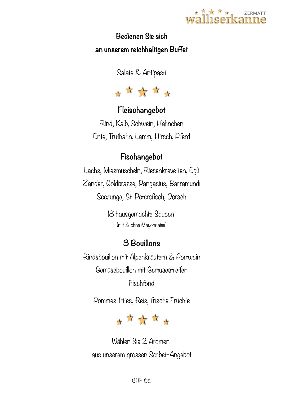

## **Bedienen Sie sich an unserem reichhaltigen Buffet**

Salate & Antipasti



# **Fleischangebot**

Rind, Kalb, Schwein, Hähnchen Ente, Truthahn, Lamm, Hirsch, Pferd

## **Fischangebot**

Lachs, Miesmuscheln, Riesenkrevetten, Egli Zander, Goldbrasse, Pangasius, Barramundi Seezunge, St. Petersfisch, Dorsch

> 18 hausgemachte Saucen (mit & ohne Mayonnaise)

# **3 Bouillons**

Rindsbouillon mit Alpenkräutern & Portwein Gemüsebouillon mit Gemüsestreifen Fischfond

Pommes frites, Reis, frische Früchte



Wählen Sie 2 Aromen aus unserem grossen Sorbet-Angebot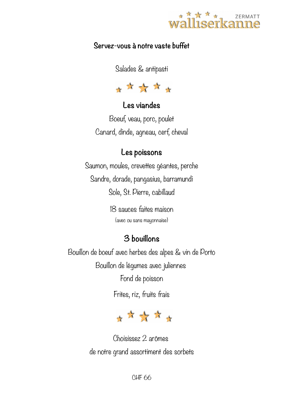

#### **Servez-vous à notre vaste buffet**

Salades & antipasti



#### **Les viandes**

Boeuf, veau, porc, poulet Canard, dinde, agneau, cerf, cheval

#### **Les poissons**

Saumon, moules, crevettes géantes, perche Sandre, dorade, pangasius, barramundi Sole, St. Pierre, cabillaud

> 18 sauces faites maison (avec ou sans mayonnaise)

## **3 bouillons**

Bouillon de boeuf avec herbes des alpes & vin de Porto Bouillon de légumes avec juliennes

Fond de poisson

Frites, riz, fruits frais



Choisissez 2 arômes de notre grand assortiment des sorbets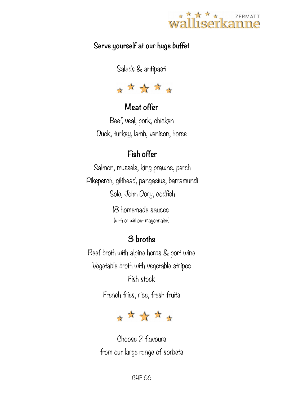

#### **Serve yourself at our huge buffet**

Salads & antipasti



## **Meat offer**

Beef, veal, pork, chicken Duck, turkey, lamb, venison, horse

## **Fish offer**

Salmon, mussels, king prawns, perch Pikeperch, gilthead, pangasius, barramundi Sole, John Dory, codfish

> 18 homemade sauces (with or without mayonnaise)

## **3 broths**

Beef broth with alpine herbs & port wine Vegetable broth with vegetable stripes Fish stock

French fries, rice, fresh fruits



Choose 2 flavours from our large range of sorbets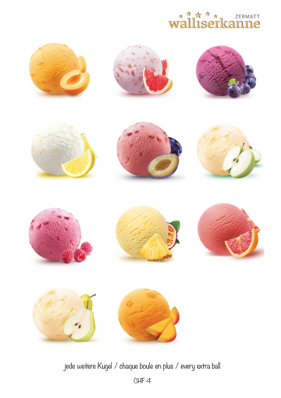























jede weitere Kugel / chaque boule en plus / every extra ball

CHF 4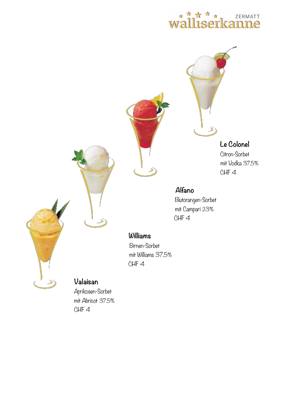#### walliserkar ZERMATT פרדר



**Le Colonel** Citron-Sorbet mit Vodka 37.5% CHF 4

### **Alfano**

Blutorangen-Sorbet mit Campari 23% CHF 4

#### **Williams**

Birnen-Sorbet mit Williams 37.5% CHF 4

## **Valaisan**

 Aprikosen-Sorbet mit Abricot 37.5% CHF 4